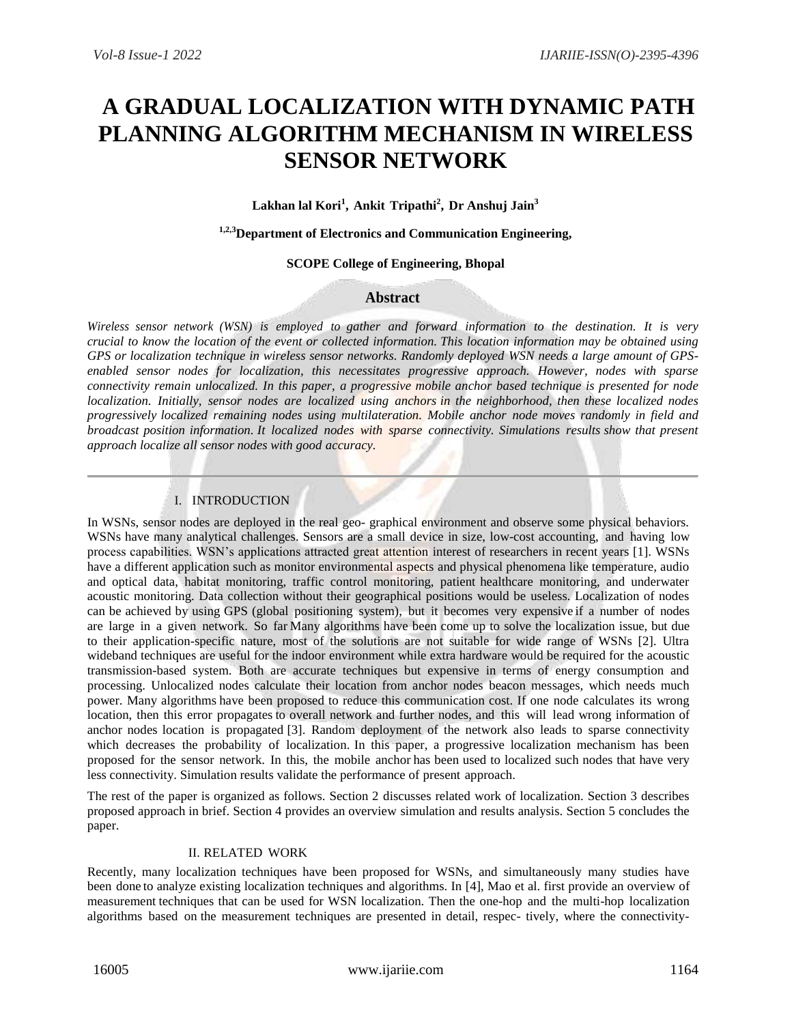# **A GRADUAL LOCALIZATION WITH DYNAMIC PATH PLANNING ALGORITHM MECHANISM IN WIRELESS SENSOR NETWORK**

**Lakhan lal Kori<sup>1</sup> , Ankit Tripathi<sup>2</sup> , Dr Anshuj Jain<sup>3</sup>**

**1,2,3Department of Electronics and Communication Engineering,** 

#### **SCOPE College of Engineering, Bhopal**

### **Abstract**

Wireless sensor network (WSN) is employed to gather and forward information to the destination. It is very *crucial to know the location of the event or collected information. This location information may be obtained using GPS or localization technique in wireless sensor networks. Randomly deployed WSN needs a large amount of GPSenabled sensor nodes for localization, this necessitates progressive approach. However, nodes with sparse connectivity remain unlocalized. In this paper, a progressive mobile anchor based technique is presented for node localization. Initially, sensor nodes are localized using anchors in the neighborhood, then these localized nodes progressively localized remaining nodes using multilateration. Mobile anchor node moves randomly in field and broadcast position information. It localized nodes with sparse connectivity. Simulations results show that present approach localize all sensor nodes with good accuracy.*

## I. INTRODUCTION

In WSNs, sensor nodes are deployed in the real geo- graphical environment and observe some physical behaviors. WSNs have many analytical challenges. Sensors are a small device in size, low-cost accounting, and having low process capabilities. WSN's applications attracted great attention interest of researchers in recent years [1]. WSNs have a different application such as monitor environmental aspects and physical phenomena like temperature, audio and optical data, habitat monitoring, traffic control monitoring, patient healthcare monitoring, and underwater acoustic monitoring. Data collection without their geographical positions would be useless. Localization of nodes can be achieved by using GPS (global positioning system), but it becomes very expensive if a number of nodes are large in a given network. So far Many algorithms have been come up to solve the localization issue, but due to their application-specific nature, most of the solutions are not suitable for wide range of WSNs [2]. Ultra wideband techniques are useful for the indoor environment while extra hardware would be required for the acoustic transmission-based system. Both are accurate techniques but expensive in terms of energy consumption and processing. Unlocalized nodes calculate their location from anchor nodes beacon messages, which needs much power. Many algorithms have been proposed to reduce this communication cost. If one node calculates its wrong location, then this error propagates to overall network and further nodes, and this will lead wrong information of anchor nodes location is propagated [3]. Random deployment of the network also leads to sparse connectivity which decreases the probability of localization. In this paper, a progressive localization mechanism has been proposed for the sensor network. In this, the mobile anchor has been used to localized such nodes that have very less connectivity. Simulation results validate the performance of present approach.

The rest of the paper is organized as follows. Section 2 discusses related work of localization. Section 3 describes proposed approach in brief. Section 4 provides an overview simulation and results analysis. Section 5 concludes the paper.

### II. RELATED WORK

Recently, many localization techniques have been proposed for WSNs, and simultaneously many studies have been done to analyze existing localization techniques and algorithms. In [4], Mao et al. first provide an overview of measurement techniques that can be used for WSN localization. Then the one-hop and the multi-hop localization algorithms based on the measurement techniques are presented in detail, respec- tively, where the connectivity-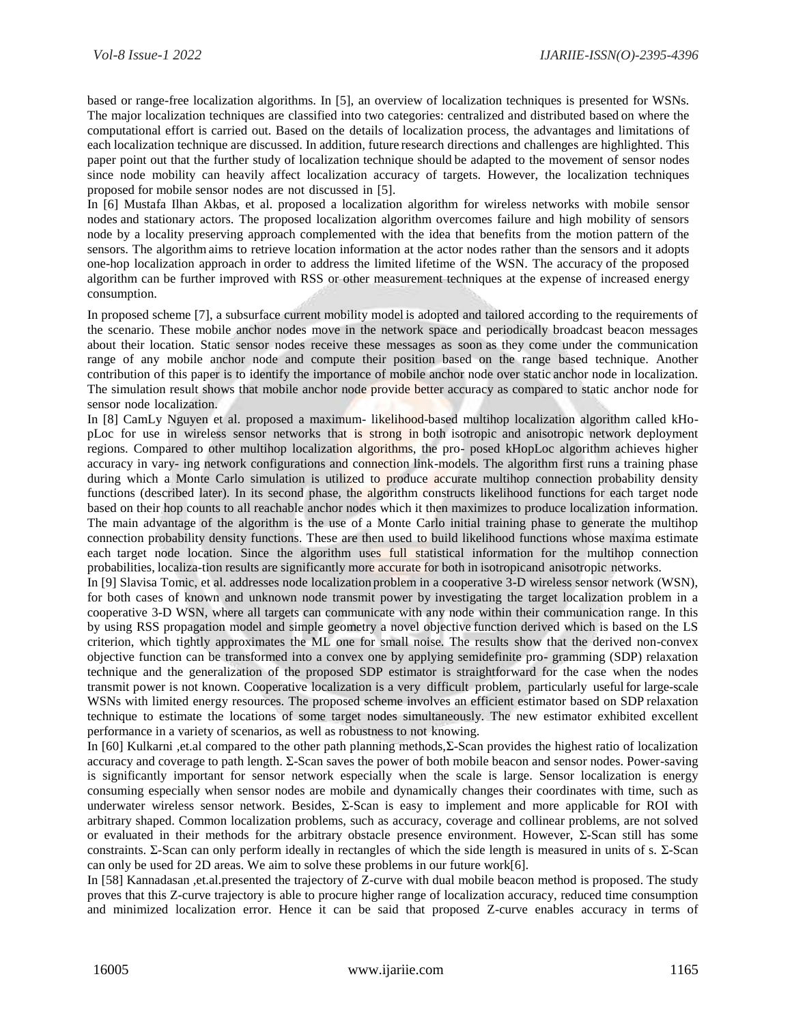based or range-free localization algorithms. In [5], an overview of localization techniques is presented for WSNs. The major localization techniques are classified into two categories: centralized and distributed based on where the computational effort is carried out. Based on the details of localization process, the advantages and limitations of each localization technique are discussed. In addition, future research directions and challenges are highlighted. This paper point out that the further study of localization technique should be adapted to the movement of sensor nodes since node mobility can heavily affect localization accuracy of targets. However, the localization techniques proposed for mobile sensor nodes are not discussed in [5].

In [6] Mustafa Ilhan Akbas, et al. proposed a localization algorithm for wireless networks with mobile sensor nodes and stationary actors. The proposed localization algorithm overcomes failure and high mobility of sensors node by a locality preserving approach complemented with the idea that benefits from the motion pattern of the sensors. The algorithm aims to retrieve location information at the actor nodes rather than the sensors and it adopts one-hop localization approach in order to address the limited lifetime of the WSN. The accuracy of the proposed algorithm can be further improved with RSS or other measurement techniques at the expense of increased energy consumption.

In proposed scheme [7], a subsurface current mobility model is adopted and tailored according to the requirements of the scenario. These mobile anchor nodes move in the network space and periodically broadcast beacon messages about their location. Static sensor nodes receive these messages as soon as they come under the communication range of any mobile anchor node and compute their position based on the range based technique. Another contribution of this paper is to identify the importance of mobile anchor node over static anchor node in localization. The simulation result shows that mobile anchor node provide better accuracy as compared to static anchor node for sensor node localization.

In [8] CamLy Nguyen et al. proposed a maximum- likelihood-based multihop localization algorithm called kHopLoc for use in wireless sensor networks that is strong in both isotropic and anisotropic network deployment regions. Compared to other multihop localization algorithms, the pro- posed kHopLoc algorithm achieves higher accuracy in vary- ing network configurations and connection link-models. The algorithm first runs a training phase during which a Monte Carlo simulation is utilized to produce accurate multihop connection probability density functions (described later). In its second phase, the algorithm constructs likelihood functions for each target node based on their hop counts to all reachable anchor nodes which it then maximizes to produce localization information. The main advantage of the algorithm is the use of a Monte Carlo initial training phase to generate the multihop connection probability density functions. These are then used to build likelihood functions whose maxima estimate each target node location. Since the algorithm uses full statistical information for the multihop connection probabilities, localiza-tion results are significantly more accurate for both in isotropicand anisotropic networks.

In [9] Slavisa Tomic, et al. addresses node localization problem in a cooperative 3-D wireless sensor network (WSN), for both cases of known and unknown node transmit power by investigating the target localization problem in a cooperative 3-D WSN, where all targets can communicate with any node within their communication range. In this by using RSS propagation model and simple geometry a novel objective function derived which is based on the LS criterion, which tightly approximates the ML one for small noise. The results show that the derived non-convex objective function can be transformed into a convex one by applying semidefinite pro- gramming (SDP) relaxation technique and the generalization of the proposed SDP estimator is straightforward for the case when the nodes transmit power is not known. Cooperative localization is a very difficult problem, particularly usefulfor large-scale WSNs with limited energy resources. The proposed scheme involves an efficient estimator based on SDP relaxation technique to estimate the locations of some target nodes simultaneously. The new estimator exhibited excellent performance in a variety of scenarios, as well as robustness to not knowing.

In [60] Kulkarni ,et.al compared to the other path planning methods,Σ-Scan provides the highest ratio of localization accuracy and coverage to path length. Σ-Scan saves the power of both mobile beacon and sensor nodes. Power-saving is significantly important for sensor network especially when the scale is large. Sensor localization is energy consuming especially when sensor nodes are mobile and dynamically changes their coordinates with time, such as underwater wireless sensor network. Besides, Σ-Scan is easy to implement and more applicable for ROI with arbitrary shaped. Common localization problems, such as accuracy, coverage and collinear problems, are not solved or evaluated in their methods for the arbitrary obstacle presence environment. However, Σ-Scan still has some constraints. Σ-Scan can only perform ideally in rectangles of which the side length is measured in units of s. Σ-Scan can only be used for 2D areas. We aim to solve these problems in our future work[6].

In [58] Kannadasan ,et.al.presented the trajectory of Z-curve with dual mobile beacon method is proposed. The study proves that this Z-curve trajectory is able to procure higher range of localization accuracy, reduced time consumption and minimized localization error. Hence it can be said that proposed Z-curve enables accuracy in terms of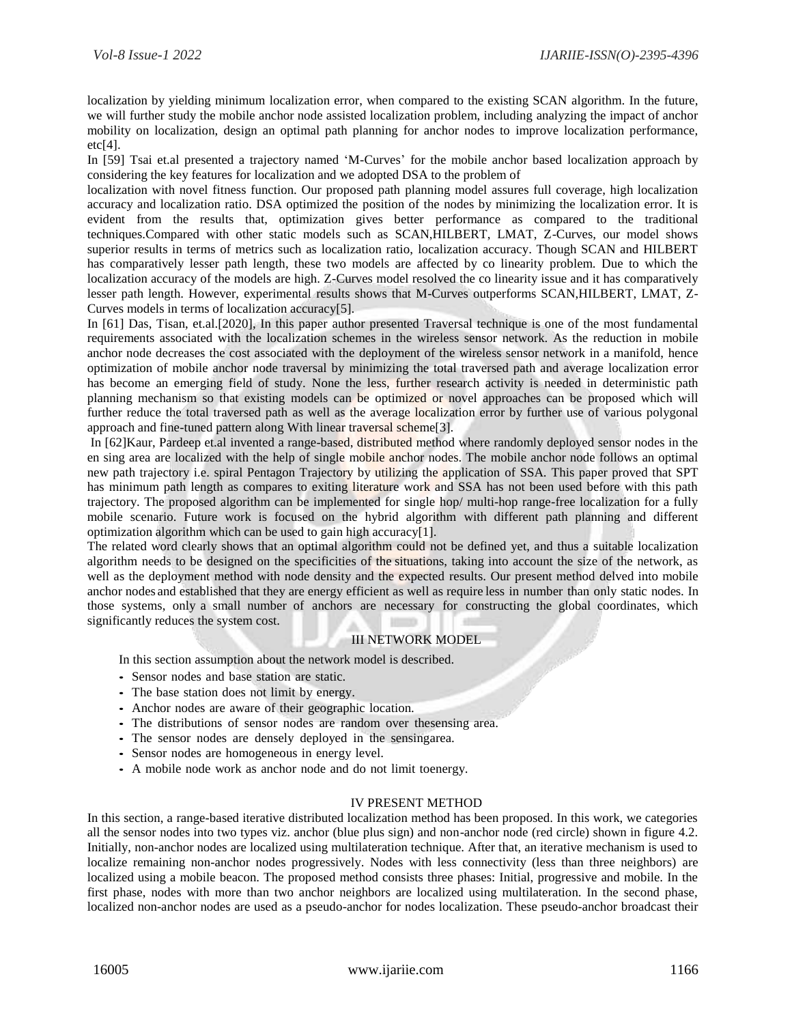localization by yielding minimum localization error, when compared to the existing SCAN algorithm. In the future, we will further study the mobile anchor node assisted localization problem, including analyzing the impact of anchor mobility on localization, design an optimal path planning for anchor nodes to improve localization performance, etc[4].

In [59] Tsai et.al presented a trajectory named 'M-Curves' for the mobile anchor based localization approach by considering the key features for localization and we adopted DSA to the problem of

localization with novel fitness function. Our proposed path planning model assures full coverage, high localization accuracy and localization ratio. DSA optimized the position of the nodes by minimizing the localization error. It is evident from the results that, optimization gives better performance as compared to the traditional techniques.Compared with other static models such as SCAN,HILBERT, LMAT, Z-Curves, our model shows superior results in terms of metrics such as localization ratio, localization accuracy. Though SCAN and HILBERT has comparatively lesser path length, these two models are affected by co linearity problem. Due to which the localization accuracy of the models are high. Z-Curves model resolved the co linearity issue and it has comparatively lesser path length. However, experimental results shows that M-Curves outperforms SCAN,HILBERT, LMAT, Z-Curves models in terms of localization accuracy[5].

In [61] Das, Tisan, et.al.[2020], In this paper author presented Traversal technique is one of the most fundamental requirements associated with the localization schemes in the wireless sensor network. As the reduction in mobile anchor node decreases the cost associated with the deployment of the wireless sensor network in a manifold, hence optimization of mobile anchor node traversal by minimizing the total traversed path and average localization error has become an emerging field of study. None the less, further research activity is needed in deterministic path planning mechanism so that existing models can be optimized or novel approaches can be proposed which will further reduce the total traversed path as well as the average localization error by further use of various polygonal approach and fine-tuned pattern along With linear traversal scheme<sup>[3]</sup>.

In [62]Kaur, Pardeep et.al invented a range-based, distributed method where randomly deployed sensor nodes in the en sing area are localized with the help of single mobile anchor nodes. The mobile anchor node follows an optimal new path trajectory i.e. spiral Pentagon Trajectory by utilizing the application of SSA. This paper proved that SPT has minimum path length as compares to exiting literature work and SSA has not been used before with this path trajectory. The proposed algorithm can be implemented for single hop/ multi-hop range-free localization for a fully mobile scenario. Future work is focused on the hybrid algorithm with different path planning and different optimization algorithm which can be used to gain high accuracy[1].

The related word clearly shows that an optimal algorithm could not be defined yet, and thus a suitable localization algorithm needs to be designed on the specificities of the situations, taking into account the size of the network, as well as the deployment method with node density and the expected results. Our present method delved into mobile anchor nodes and established that they are energy efficient as well as require less in number than only static nodes. In those systems, only a small number of anchors are necessary for constructing the global coordinates, which significantly reduces the system cost.

## III NETWORK MODEL

In this section assumption about the network model is described.

- *•* Sensor nodes and base station are static.
- *•* The base station does not limit by energy.
- *•* Anchor nodes are aware of their geographic location.
- *•* The distributions of sensor nodes are random over thesensing area.
- *•* The sensor nodes are densely deployed in the sensingarea.
- *•* Sensor nodes are homogeneous in energy level.
- *•* A mobile node work as anchor node and do not limit toenergy.

#### IV PRESENT METHOD

In this section, a range-based iterative distributed localization method has been proposed. In this work, we categories all the sensor nodes into two types viz. anchor (blue plus sign) and non-anchor node (red circle) shown in figure 4.2. Initially, non-anchor nodes are localized using multilateration technique. After that, an iterative mechanism is used to localize remaining non-anchor nodes progressively. Nodes with less connectivity (less than three neighbors) are localized using a mobile beacon. The proposed method consists three phases: Initial, progressive and mobile. In the first phase, nodes with more than two anchor neighbors are localized using multilateration. In the second phase, localized non-anchor nodes are used as a pseudo-anchor for nodes localization. These pseudo-anchor broadcast their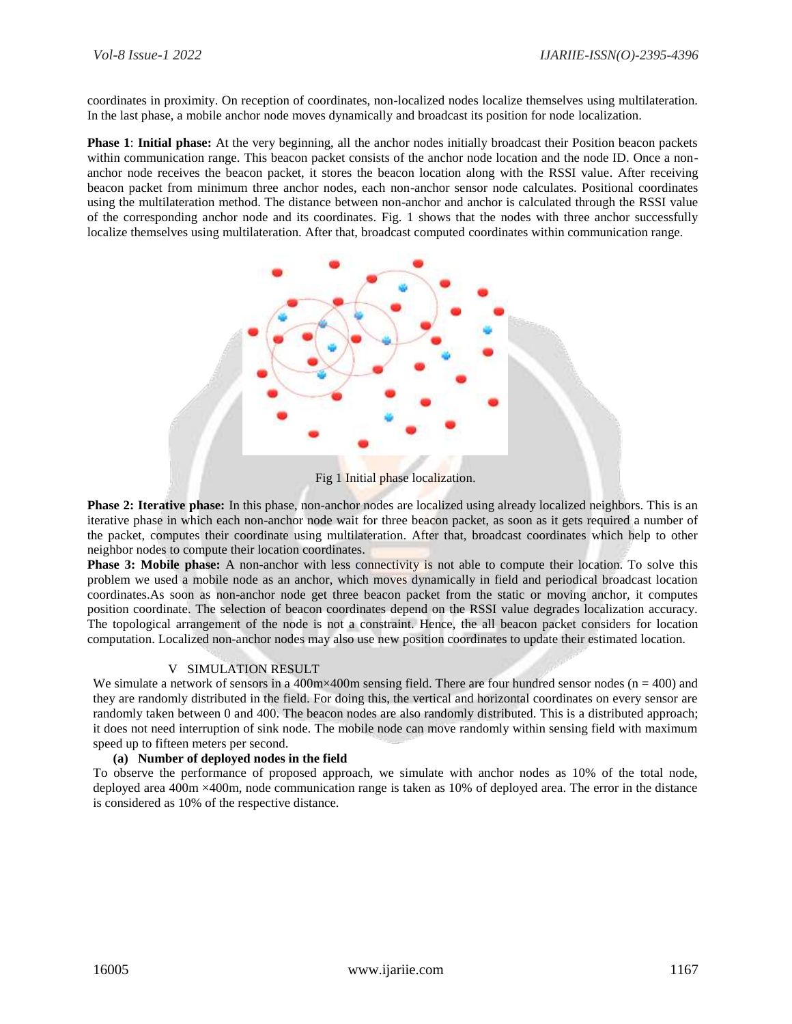coordinates in proximity. On reception of coordinates, non-localized nodes localize themselves using multilateration. In the last phase, a mobile anchor node moves dynamically and broadcast its position for node localization.

**Phase 1**: **Initial phase:** At the very beginning, all the anchor nodes initially broadcast their Position beacon packets within communication range. This beacon packet consists of the anchor node location and the node ID. Once a nonanchor node receives the beacon packet, it stores the beacon location along with the RSSI value. After receiving beacon packet from minimum three anchor nodes, each non-anchor sensor node calculates. Positional coordinates using the multilateration method. The distance between non-anchor and anchor is calculated through the RSSI value of the corresponding anchor node and its coordinates. Fig. 1 shows that the nodes with three anchor successfully localize themselves using multilateration. After that, broadcast computed coordinates within communication range.



Fig 1 Initial phase localization.

**Phase 2: Iterative phase:** In this phase, non-anchor nodes are localized using already localized neighbors. This is an iterative phase in which each non-anchor node wait for three beacon packet, as soon as it gets required a number of the packet, computes their coordinate using multilateration. After that, broadcast coordinates which help to other neighbor nodes to compute their location coordinates.

**Phase 3: Mobile phase:** A non-anchor with less connectivity is not able to compute their location. To solve this problem we used a mobile node as an anchor, which moves dynamically in field and periodical broadcast location coordinates.As soon as non-anchor node get three beacon packet from the static or moving anchor, it computes position coordinate. The selection of beacon coordinates depend on the RSSI value degrades localization accuracy. The topological arrangement of the node is not a constraint. Hence, the all beacon packet considers for location computation. Localized non-anchor nodes may also use new position coordinates to update their estimated location.

### V SIMULATION RESULT

We simulate a network of sensors in a 400m×400m sensing field. There are four hundred sensor nodes  $(n = 400)$  and they are randomly distributed in the field. For doing this, the vertical and horizontal coordinates on every sensor are randomly taken between 0 and 400. The beacon nodes are also randomly distributed. This is a distributed approach; it does not need interruption of sink node. The mobile node can move randomly within sensing field with maximum speed up to fifteen meters per second.

### **(a) Number of deployed nodes in the field**

To observe the performance of proposed approach, we simulate with anchor nodes as 10% of the total node, deployed area 400m ×400m, node communication range is taken as 10% of deployed area. The error in the distance is considered as 10% of the respective distance.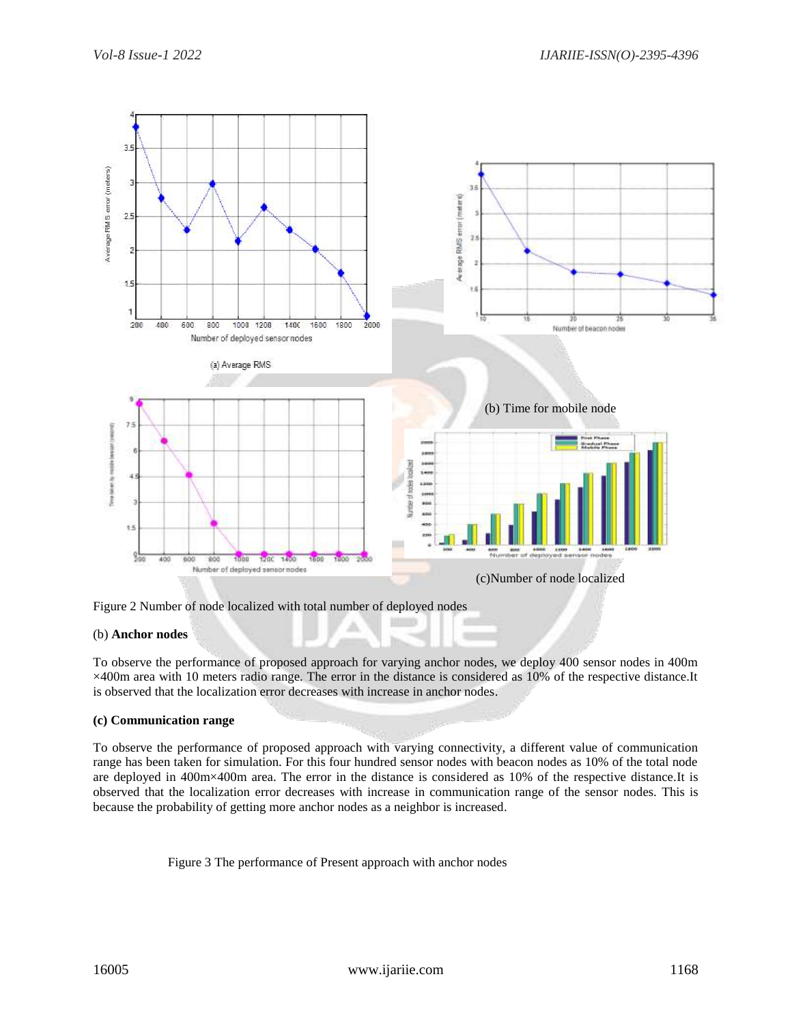

Figure 2 Number of node localized with total number of deployed nodes

### (b) **Anchor nodes**

To observe the performance of proposed approach for varying anchor nodes, we deploy 400 sensor nodes in 400m ×400m area with 10 meters radio range. The error in the distance is considered as 10% of the respective distance.It is observed that the localization error decreases with increase in anchor nodes.

۸

### **(c) Communication range**

To observe the performance of proposed approach with varying connectivity, a different value of communication range has been taken for simulation. For this four hundred sensor nodes with beacon nodes as 10% of the total node are deployed in 400m×400m area. The error in the distance is considered as 10% of the respective distance.It is observed that the localization error decreases with increase in communication range of the sensor nodes. This is because the probability of getting more anchor nodes as a neighbor is increased.

Figure 3 The performance of Present approach with anchor nodes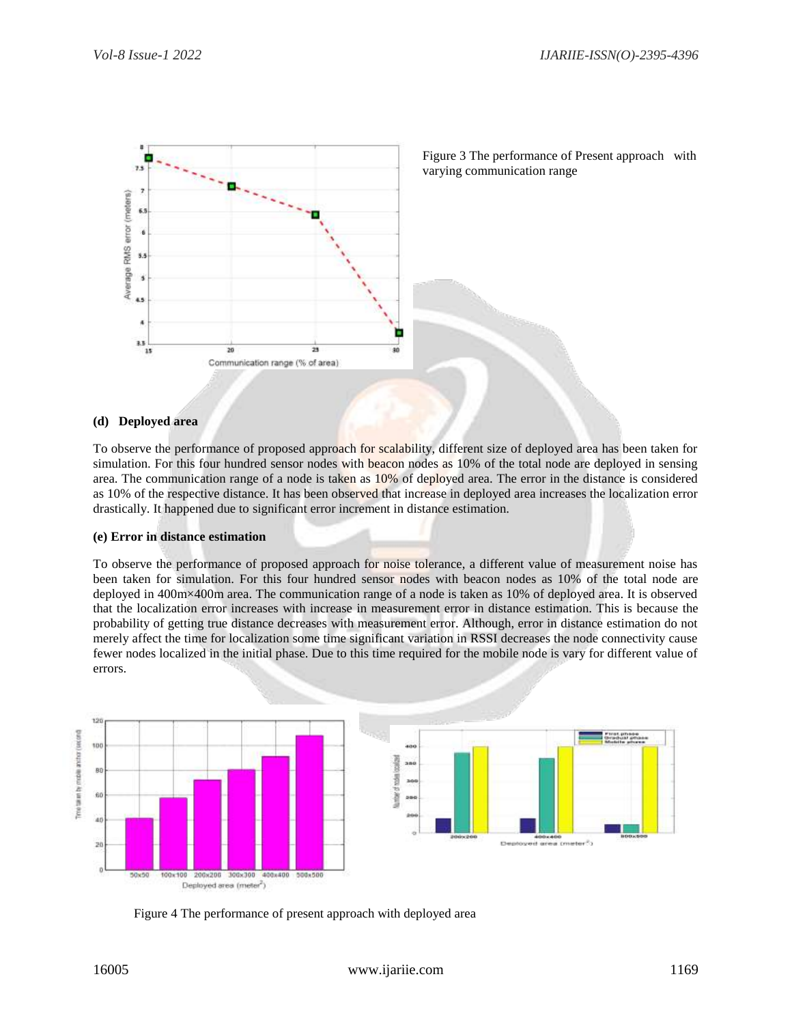

Figure 3 The performance of Present approach with varying communication range

#### **(d) Deployed area**

To observe the performance of proposed approach for scalability, different size of deployed area has been taken for simulation. For this four hundred sensor nodes with beacon nodes as 10% of the total node are deployed in sensing area. The communication range of a node is taken as 10% of deployed area. The error in the distance is considered as 10% of the respective distance. It has been observed that increase in deployed area increases the localization error drastically. It happened due to significant error increment in distance estimation.

#### **(e) Error in distance estimation**

To observe the performance of proposed approach for noise tolerance, a different value of measurement noise has been taken for simulation. For this four hundred sensor nodes with beacon nodes as 10% of the total node are deployed in 400m×400m area. The communication range of a node is taken as 10% of deployed area. It is observed that the localization error increases with increase in measurement error in distance estimation. This is because the probability of getting true distance decreases with measurement error. Although, error in distance estimation do not merely affect the time for localization some time significant variation in RSSI decreases the node connectivity cause fewer nodes localized in the initial phase. Due to this time required for the mobile node is vary for different value of errors.



Figure 4 The performance of present approach with deployed area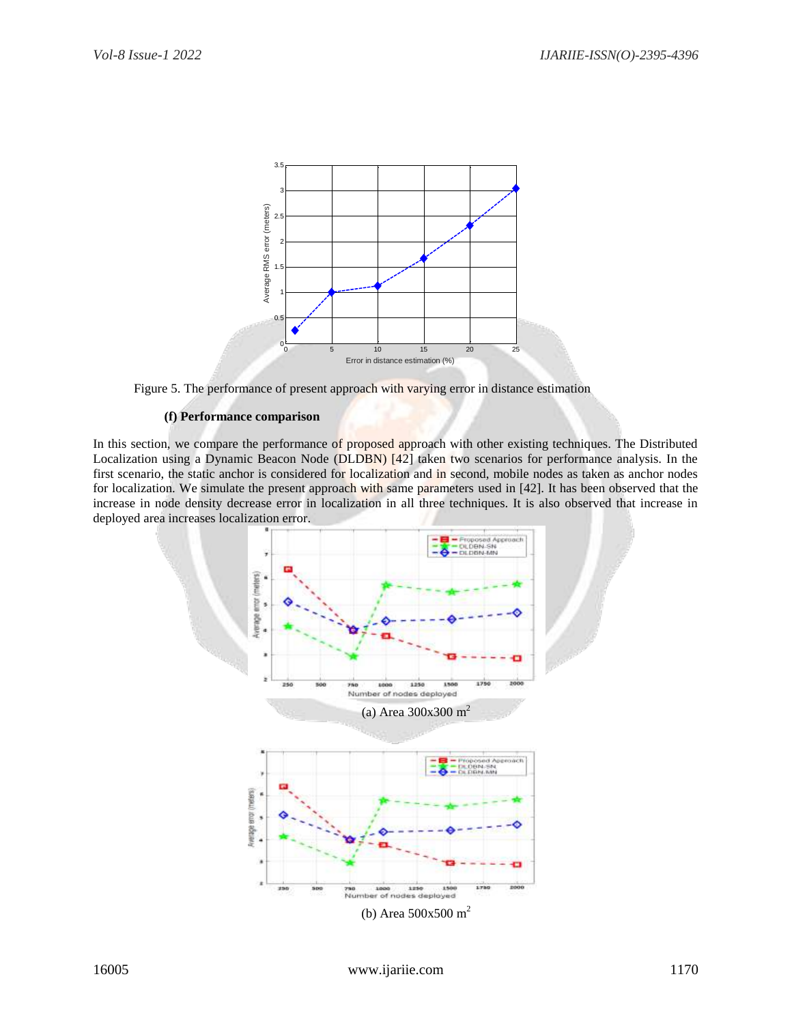

Figure 5. The performance of present approach with varying error in distance estimation

### **(f) Performance comparison**

In this section, we compare the performance of proposed approach with other existing techniques. The Distributed Localization using a Dynamic Beacon Node (DLDBN) [42] taken two scenarios for performance analysis. In the first scenario, the static anchor is considered for localization and in second, mobile nodes as taken as anchor nodes for localization. We simulate the present approach with same parameters used in [42]. It has been observed that the increase in node density decrease error in localization in all three techniques. It is also observed that increase in deployed area increases localization error.

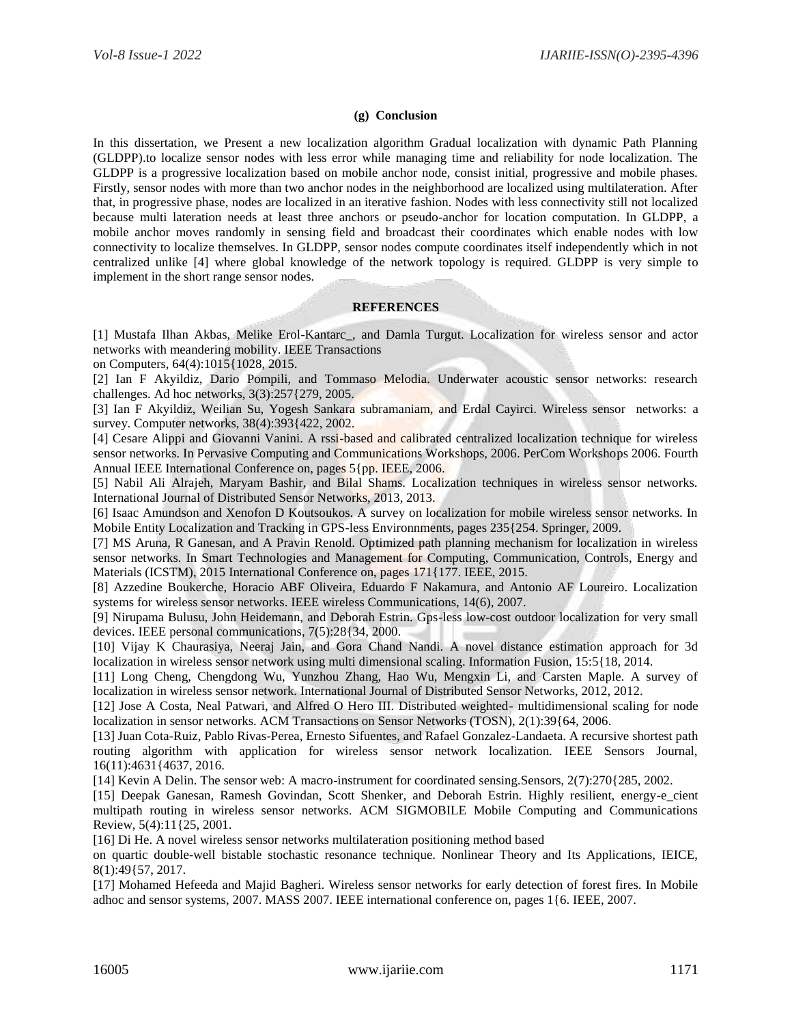### **(g) Conclusion**

In this dissertation, we Present a new localization algorithm Gradual localization with dynamic Path Planning (GLDPP).to localize sensor nodes with less error while managing time and reliability for node localization. The GLDPP is a progressive localization based on mobile anchor node, consist initial, progressive and mobile phases. Firstly, sensor nodes with more than two anchor nodes in the neighborhood are localized using multilateration. After that, in progressive phase, nodes are localized in an iterative fashion. Nodes with less connectivity still not localized because multi lateration needs at least three anchors or pseudo-anchor for location computation. In GLDPP, a mobile anchor moves randomly in sensing field and broadcast their coordinates which enable nodes with low connectivity to localize themselves. In GLDPP, sensor nodes compute coordinates itself independently which in not centralized unlike [4] where global knowledge of the network topology is required. GLDPP is very simple to implement in the short range sensor nodes.

#### **REFERENCES**

[1] Mustafa Ilhan Akbas, Melike Erol-Kantarc\_, and Damla Turgut. Localization for wireless sensor and actor networks with meandering mobility. IEEE Transactions

on Computers, 64(4):1015{1028, 2015.

[2] Ian F Akyildiz, Dario Pompili, and Tommaso Melodia. Underwater acoustic sensor networks: research challenges. Ad hoc networks, 3(3):257{279, 2005.

[3] Ian F Akyildiz, Weilian Su, Yogesh Sankara subramaniam, and Erdal Cayirci. Wireless sensor networks: a survey. Computer networks, 38(4):393{422, 2002.

[4] Cesare Alippi and Giovanni Vanini. A rssi-based and calibrated centralized localization technique for wireless sensor networks. In Pervasive Computing and Communications Workshops, 2006. PerCom Workshops 2006. Fourth Annual IEEE International Conference on, pages 5{pp. IEEE, 2006.

[5] Nabil Ali Alrajeh, Maryam Bashir, and Bilal Shams. Localization techniques in wireless sensor networks. International Journal of Distributed Sensor Networks, 2013, 2013.

[6] Isaac Amundson and Xenofon D Koutsoukos. A survey on localization for mobile wireless sensor networks. In Mobile Entity Localization and Tracking in GPS-less Environnments, pages 235{254. Springer, 2009.

[7] MS Aruna, R Ganesan, and A Pravin Renold. Optimized path planning mechanism for localization in wireless sensor networks. In Smart Technologies and Management for Computing, Communication, Controls, Energy and Materials (ICSTM), 2015 International Conference on, pages 171{177. IEEE, 2015.

[8] Azzedine Boukerche, Horacio ABF Oliveira, Eduardo F Nakamura, and Antonio AF Loureiro. Localization systems for wireless sensor networks. IEEE wireless Communications, 14(6), 2007.

[9] Nirupama Bulusu, John Heidemann, and Deborah Estrin. Gps-less low-cost outdoor localization for very small devices. IEEE personal communications, 7(5):28{34, 2000.

[10] Vijay K Chaurasiya, Neeraj Jain, and Gora Chand Nandi. A novel distance estimation approach for 3d localization in wireless sensor network using multi dimensional scaling. Information Fusion, 15:5{18, 2014.

[11] Long Cheng, Chengdong Wu, Yunzhou Zhang, Hao Wu, Mengxin Li, and Carsten Maple. A survey of localization in wireless sensor network. International Journal of Distributed Sensor Networks, 2012, 2012.

[12] Jose A Costa, Neal Patwari, and Alfred O Hero III. Distributed weighted- multidimensional scaling for node localization in sensor networks. ACM Transactions on Sensor Networks (TOSN), 2(1):39{64, 2006.

[13] Juan Cota-Ruiz, Pablo Rivas-Perea, Ernesto Sifuentes, and Rafael Gonzalez-Landaeta. A recursive shortest path routing algorithm with application for wireless sensor network localization. IEEE Sensors Journal, 16(11):4631{4637, 2016.

[14] Kevin A Delin. The sensor web: A macro-instrument for coordinated sensing.Sensors, 2(7):270{285, 2002.

[15] Deepak Ganesan, Ramesh Govindan, Scott Shenker, and Deborah Estrin. Highly resilient, energy-e cient multipath routing in wireless sensor networks. ACM SIGMOBILE Mobile Computing and Communications Review, 5(4):11{25, 2001.

[16] Di He. A novel wireless sensor networks multilateration positioning method based

on quartic double-well bistable stochastic resonance technique. Nonlinear Theory and Its Applications, IEICE, 8(1):49{57, 2017.

[17] Mohamed Hefeeda and Majid Bagheri. Wireless sensor networks for early detection of forest fires. In Mobile adhoc and sensor systems, 2007. MASS 2007. IEEE international conference on, pages 1{6. IEEE, 2007.